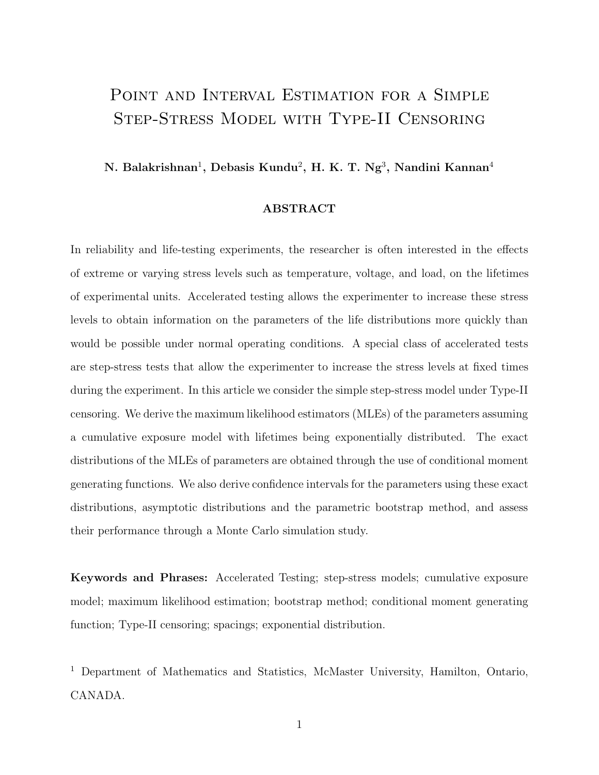# POINT AND INTERVAL ESTIMATION FOR A SIMPLE Step-Stress Model with Type-II Censoring

**N. Balakrishnan**<sup>1</sup>**, Debasis Kundu**<sup>2</sup>**, H. K. T. Ng**<sup>3</sup>**, Nandini Kannan**<sup>4</sup>

#### **ABSTRACT**

In reliability and life-testing experiments, the researcher is often interested in the effects of extreme or varying stress levels such as temperature, voltage, and load, on the lifetimes of experimental units. Accelerated testing allows the experimenter to increase these stress levels to obtain information on the parameters of the life distributions more quickly than would be possible under normal operating conditions. A special class of accelerated tests are step-stress tests that allow the experimenter to increase the stress levels at fixed times during the experiment. In this article we consider the simple step-stress model under Type-II censoring. We derive the maximum likelihood estimators (MLEs) of the parameters assuming a cumulative exposure model with lifetimes being exponentially distributed. The exact distributions of the MLEs of parameters are obtained through the use of conditional moment generating functions. We also derive confidence intervals for the parameters using these exact distributions, asymptotic distributions and the parametric bootstrap method, and assess their performance through a Monte Carlo simulation study.

**Keywords and Phrases:** Accelerated Testing; step-stress models; cumulative exposure model; maximum likelihood estimation; bootstrap method; conditional moment generating function; Type-II censoring; spacings; exponential distribution.

<sup>1</sup> Department of Mathematics and Statistics, McMaster University, Hamilton, Ontario, CANADA.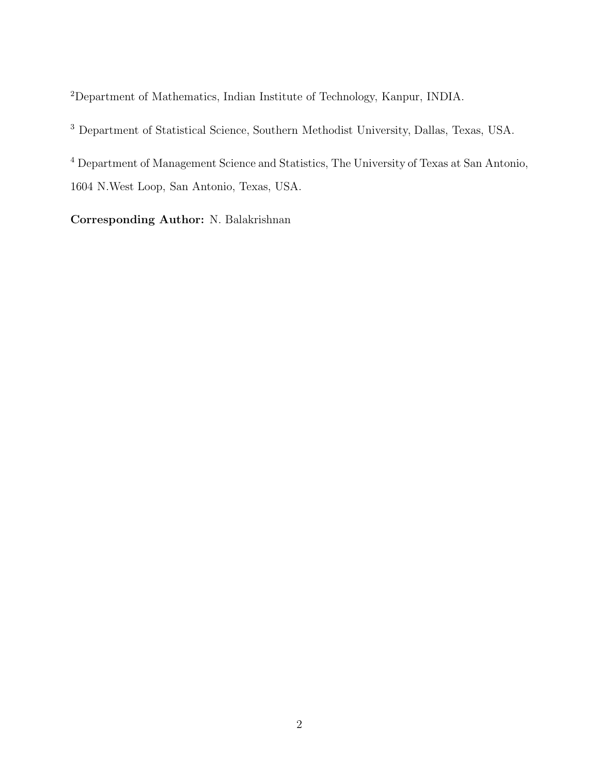Department of Mathematics, Indian Institute of Technology, Kanpur, INDIA.

Department of Statistical Science, Southern Methodist University, Dallas, Texas, USA.

 Department of Management Science and Statistics, The University of Texas at San Antonio, 1604 N.West Loop, San Antonio, Texas, USA.

**Corresponding Author:** N. Balakrishnan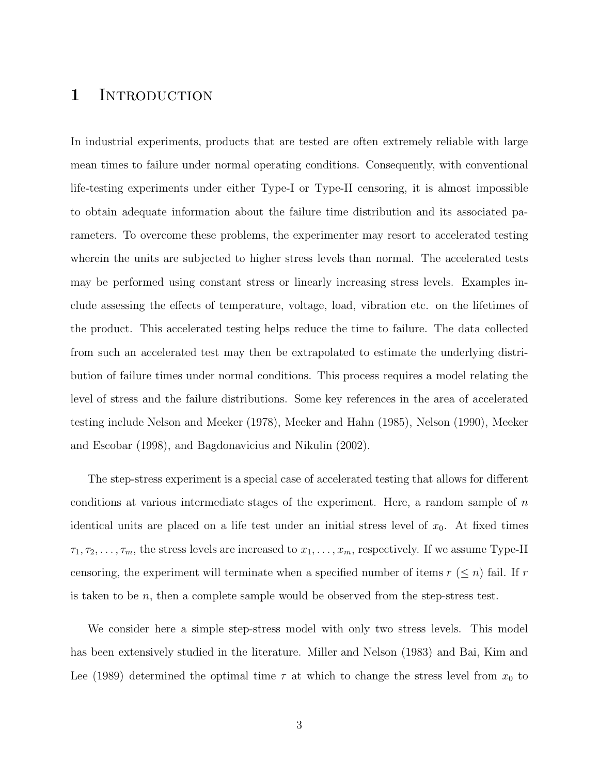### 1 INTRODUCTION

In industrial experiments, products that are tested are often extremely reliable with large mean times to failure under normal operating conditions. Consequently, with conventional life-testing experiments under either Type-I or Type-II censoring, it is almost impossible to obtain adequate information about the failure time distribution and its associated parameters. To overcome these problems, the experimenter may resort to accelerated testing wherein the units are subjected to higher stress levels than normal. The accelerated tests may be performed using constant stress or linearly increasing stress levels. Examples include assessing the effects of temperature, voltage, load, vibration etc. on the lifetimes of the product. This accelerated testing helps reduce the time to failure. The data collected from such an accelerated test may then be extrapolated to estimate the underlying distribution of failure times under normal conditions. This process requires a model relating the level of stress and the failure distributions. Some key references in the area of accelerated testing include Nelson and Meeker (1978), Meeker and Hahn (1985), Nelson (1990), Meeker and Escobar (1998), and Bagdonavicius and Nikulin (2002).

The step-stress experiment is a special case of accelerated testing that allows for different conditions at various intermediate stages of the experiment. Here, a random sample of *n* identical units are placed on a life test under an initial stress level of  $x_0$ . At fixed times  $\tau_1, \tau_2, \ldots, \tau_m$ , the stress levels are increased to  $x_1, \ldots, x_m$ , respectively. If we assume Type-II censoring, the experiment will terminate when a specified number of items  $r \leq n$  fail. If  $r$ is taken to be *n*, then a complete sample would be observed from the step-stress test.

We consider here a simple step-stress model with only two stress levels. This model has been extensively studied in the literature. Miller and Nelson (1983) and Bai, Kim and Lee (1989) determined the optimal time  $\tau$  at which to change the stress level from  $x_0$  to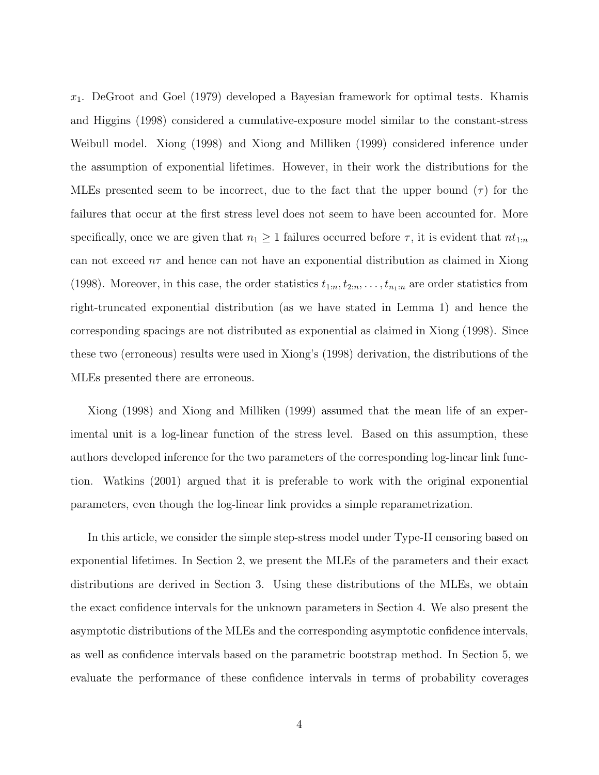*x*1. DeGroot and Goel (1979) developed a Bayesian framework for optimal tests. Khamis and Higgins (1998) considered a cumulative-exposure model similar to the constant-stress Weibull model. Xiong (1998) and Xiong and Milliken (1999) considered inference under the assumption of exponential lifetimes. However, in their work the distributions for the MLEs presented seem to be incorrect, due to the fact that the upper bound  $(\tau)$  for the failures that occur at the first stress level does not seem to have been accounted for. More specifically, once we are given that  $n_1 \geq 1$  failures occurred before  $\tau$ , it is evident that  $nt_{1:n}$ can not exceed  $n\tau$  and hence can not have an exponential distribution as claimed in Xiong (1998). Moreover, in this case, the order statistics  $t_{1:n}, t_{2:n}, \ldots, t_{n_1:n}$  are order statistics from right-truncated exponential distribution (as we have stated in Lemma 1) and hence the corresponding spacings are not distributed as exponential as claimed in Xiong (1998). Since these two (erroneous) results were used in Xiong's (1998) derivation, the distributions of the MLEs presented there are erroneous.

Xiong (1998) and Xiong and Milliken (1999) assumed that the mean life of an experimental unit is a log-linear function of the stress level. Based on this assumption, these authors developed inference for the two parameters of the corresponding log-linear link function. Watkins (2001) argued that it is preferable to work with the original exponential parameters, even though the log-linear link provides a simple reparametrization.

In this article, we consider the simple step-stress model under Type-II censoring based on exponential lifetimes. In Section 2, we present the MLEs of the parameters and their exact distributions are derived in Section 3. Using these distributions of the MLEs, we obtain the exact confidence intervals for the unknown parameters in Section 4. We also present the asymptotic distributions of the MLEs and the corresponding asymptotic confidence intervals, as well as confidence intervals based on the parametric bootstrap method. In Section 5, we evaluate the performance of these confidence intervals in terms of probability coverages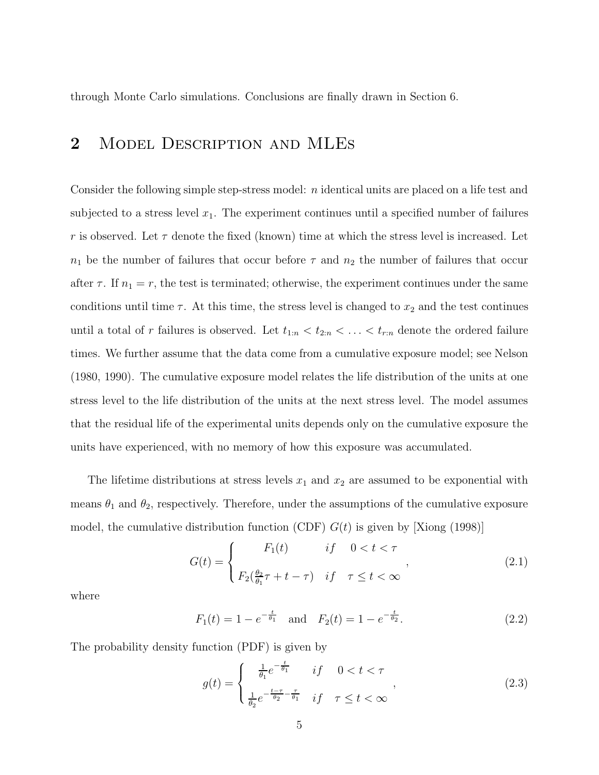through Monte Carlo simulations. Conclusions are finally drawn in Section 6.

## **2** Model Description and MLEs

Consider the following simple step-stress model: *n* identical units are placed on a life test and subjected to a stress level  $x_1$ . The experiment continues until a specified number of failures *r* is observed. Let  $\tau$  denote the fixed (known) time at which the stress level is increased. Let  $n_1$  be the number of failures that occur before  $\tau$  and  $n_2$  the number of failures that occur after  $\tau$ . If  $n_1 = r$ , the test is terminated; otherwise, the experiment continues under the same conditions until time  $\tau$ . At this time, the stress level is changed to  $x_2$  and the test continues until a total of *r* failures is observed. Let  $t_{1:n} < t_{2:n} < \ldots < t_{r:n}$  denote the ordered failure times. We further assume that the data come from a cumulative exposure model; see Nelson (1980, 1990). The cumulative exposure model relates the life distribution of the units at one stress level to the life distribution of the units at the next stress level. The model assumes that the residual life of the experimental units depends only on the cumulative exposure the units have experienced, with no memory of how this exposure was accumulated.

The lifetime distributions at stress levels  $x_1$  and  $x_2$  are assumed to be exponential with means  $\theta_1$  and  $\theta_2$ , respectively. Therefore, under the assumptions of the cumulative exposure model, the cumulative distribution function (CDF)  $G(t)$  is given by [Xiong (1998)]

$$
G(t) = \begin{cases} F_1(t) & \text{if } 0 < t < \tau \\ F_2\left(\frac{\theta_2}{\theta_1}\tau + t - \tau\right) & \text{if } \tau \le t < \infty \end{cases} \tag{2.1}
$$

where

$$
F_1(t) = 1 - e^{-\frac{t}{\theta_1}}
$$
 and  $F_2(t) = 1 - e^{-\frac{t}{\theta_2}}$ . (2.2)

The probability density function (PDF) is given by

$$
g(t) = \begin{cases} \frac{1}{\theta_1} e^{-\frac{t}{\theta_1}} & \text{if } 0 < t < \tau \\ \frac{1}{\theta_2} e^{-\frac{t-\tau}{\theta_2} - \frac{\tau}{\theta_1}} & \text{if } \tau \le t < \infty \end{cases} \tag{2.3}
$$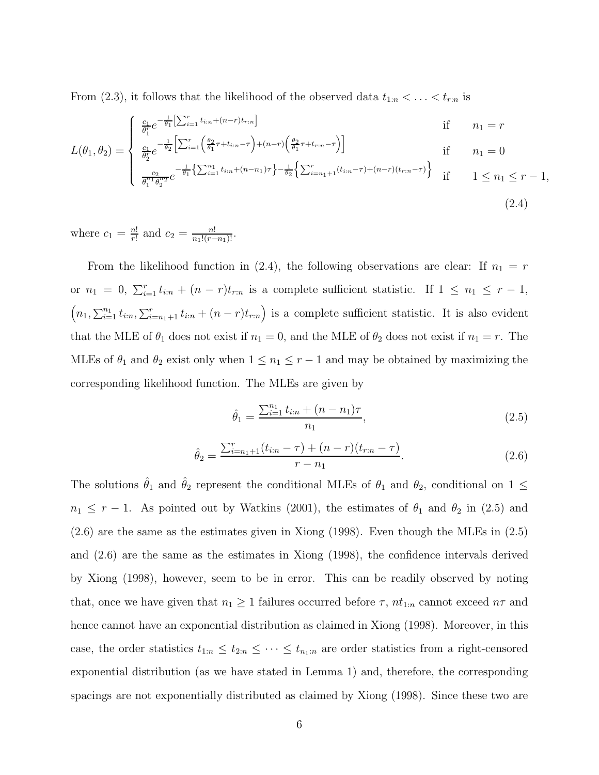From (2.3), it follows that the likelihood of the observed data  $t_{1:n} < \ldots < t_{r:n}$  is

$$
L(\theta_1, \theta_2) = \begin{cases} \frac{c_1}{\theta_1^r} e^{-\frac{1}{\theta_1} \left[ \sum_{i=1}^r t_{i:n} + (n-r)t_{r:n} \right]} & \text{if } n_1 = r\\ \frac{c_1}{\theta_2^r} e^{-\frac{1}{\theta_2} \left[ \sum_{i=1}^r \left( \frac{\theta_2}{\theta_1} \tau + t_{i:n} - \tau \right) + (n-r) \left( \frac{\theta_2}{\theta_1} \tau + t_{r:n} - \tau \right) \right]} & \text{if } n_1 = 0\\ \frac{c_2}{\theta_1^{n_1} \theta_2^{n_2}} e^{-\frac{1}{\theta_1} \left\{ \sum_{i=1}^{n_1} t_{i:n} + (n-n_1)\tau \right\} - \frac{1}{\theta_2} \left\{ \sum_{i=n_1+1}^r (t_{i:n} - \tau) + (n-r)(t_{r:n} - \tau) \right\}} & \text{if } 1 \le n_1 \le r - 1, \end{cases}
$$
\n
$$
(2.4)
$$

where  $c_1 = \frac{n!}{r!}$  and  $c_2 = \frac{n!}{n_1!(r-n_1)!}$ .

From the likelihood function in (2.4), the following observations are clear: If  $n_1 = r$ or  $n_1 = 0$ ,  $\sum_{i=1}^r t_{i:n} + (n-r)t_{r:n}$  is a complete sufficient statistic. If  $1 \leq n_1 \leq r-1$ ,  $(n_1, \sum_{i=1}^{n_1} t_{i:n}, \sum_{i=n_1+1}^{r} t_{i:n} + (n-r)t_{r:n})$  is a complete sufficient statistic. It is also evident that the MLE of  $\theta_1$  does not exist if  $n_1 = 0$ , and the MLE of  $\theta_2$  does not exist if  $n_1 = r$ . The MLEs of  $\theta_1$  and  $\theta_2$  exist only when  $1 \leq n_1 \leq r-1$  and may be obtained by maximizing the corresponding likelihood function. The MLEs are given by

$$
\hat{\theta}_1 = \frac{\sum_{i=1}^{n_1} t_{i:n} + (n - n_1)\tau}{n_1},\tag{2.5}
$$

$$
\hat{\theta}_2 = \frac{\sum_{i=n_1+1}^r (t_{i:n} - \tau) + (n-r)(t_{r:n} - \tau)}{r - n_1}.
$$
\n(2.6)

The solutions  $\hat{\theta}_1$  and  $\hat{\theta}_2$  represent the conditional MLEs of  $\theta_1$  and  $\theta_2$ , conditional on 1 ≤  $n_1 \leq r - 1$ . As pointed out by Watkins (2001), the estimates of  $\theta_1$  and  $\theta_2$  in (2.5) and (2.6) are the same as the estimates given in Xiong (1998). Even though the MLEs in (2.5) and (2.6) are the same as the estimates in Xiong (1998), the confidence intervals derived by Xiong (1998), however, seem to be in error. This can be readily observed by noting that, once we have given that  $n_1 \geq 1$  failures occurred before  $\tau$ ,  $nt_{1:n}$  cannot exceed  $n\tau$  and hence cannot have an exponential distribution as claimed in Xiong (1998). Moreover, in this case, the order statistics  $t_{1:n} \leq t_{2:n} \leq \cdots \leq t_{n_1:n}$  are order statistics from a right-censored exponential distribution (as we have stated in Lemma 1) and, therefore, the corresponding spacings are not exponentially distributed as claimed by Xiong (1998). Since these two are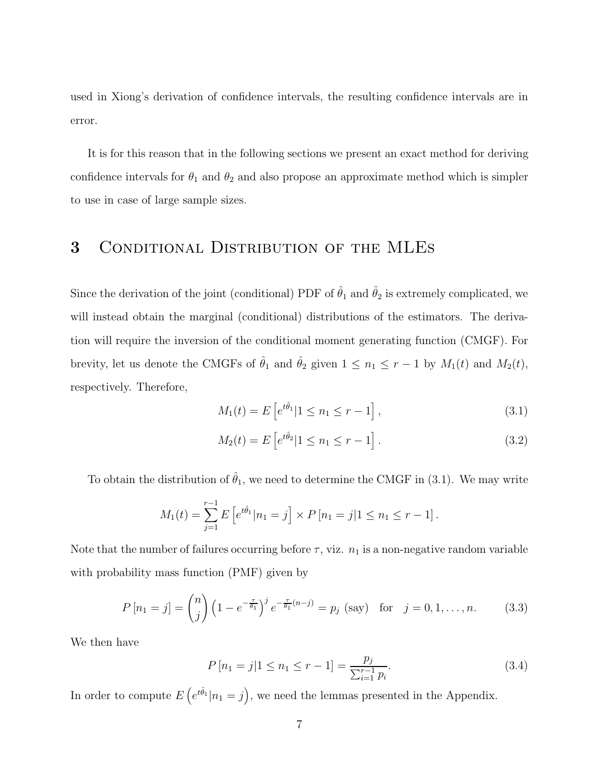used in Xiong's derivation of confidence intervals, the resulting confidence intervals are in error.

It is for this reason that in the following sections we present an exact method for deriving confidence intervals for  $\theta_1$  and  $\theta_2$  and also propose an approximate method which is simpler to use in case of large sample sizes.

## **3** Conditional Distribution of the MLEs

Since the derivation of the joint (conditional) PDF of  $\hat{\theta}_1$  and  $\hat{\theta}_2$  is extremely complicated, we will instead obtain the marginal (conditional) distributions of the estimators. The derivation will require the inversion of the conditional moment generating function (CMGF). For brevity, let us denote the CMGFs of  $\hat{\theta}_1$  and  $\hat{\theta}_2$  given  $1 \leq n_1 \leq r-1$  by  $M_1(t)$  and  $M_2(t)$ , respectively. Therefore,

$$
M_1(t) = E\left[e^{t\hat{\theta}_1} | 1 \le n_1 \le r - 1\right],\tag{3.1}
$$

$$
M_2(t) = E\left[e^{t\hat{\theta}_2} | 1 \le n_1 \le r - 1\right].
$$
\n(3.2)

To obtain the distribution of  $\hat{\theta}_1$ , we need to determine the CMGF in (3.1). We may write

$$
M_1(t) = \sum_{j=1}^{r-1} E\left[e^{t\hat{\theta}_1} | n_1 = j\right] \times P\left[n_1 = j | 1 \le n_1 \le r - 1\right].
$$

Note that the number of failures occurring before  $\tau$ , viz.  $n_1$  is a non-negative random variable with probability mass function (PMF) given by

$$
P[n_1 = j] = {n \choose j} \left(1 - e^{-\frac{\tau}{\theta_1}}\right)^j e^{-\frac{\tau}{\theta_1}(n-j)} = p_j \text{ (say) for } j = 0, 1, ..., n. \tag{3.3}
$$

We then have

$$
P\left[n_1 = j | 1 \le n_1 \le r - 1\right] = \frac{p_j}{\sum_{i=1}^{r-1} p_i}.\tag{3.4}
$$

In order to compute  $E\left(e^{t\hat{\theta}_1} | n_1 = j\right)$ , we need the lemmas presented in the Appendix.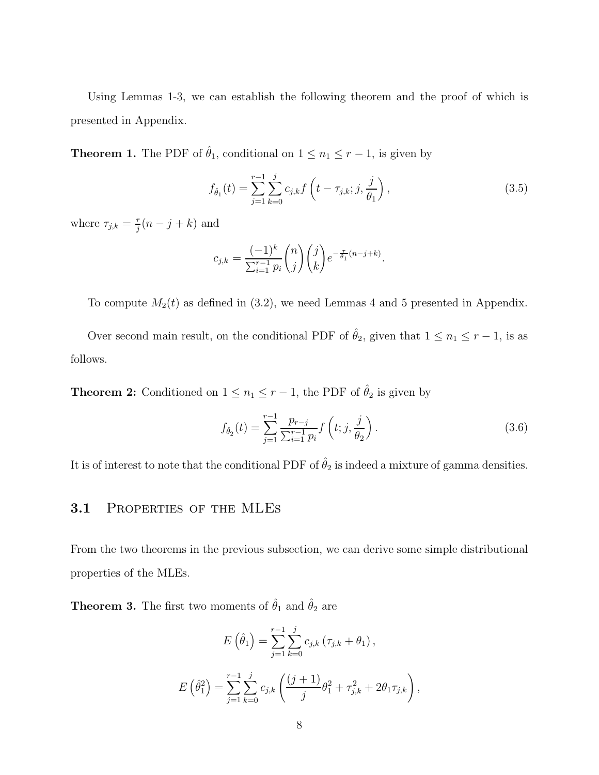Using Lemmas 1-3, we can establish the following theorem and the proof of which is presented in Appendix.

**Theorem 1.** The PDF of  $\hat{\theta}_1$ , conditional on  $1 \leq n_1 \leq r-1$ , is given by

$$
f_{\hat{\theta}_1}(t) = \sum_{j=1}^{r-1} \sum_{k=0}^{j} c_{j,k} f\left(t - \tau_{j,k}; j, \frac{j}{\theta_1}\right),
$$
\n(3.5)

where  $\tau_{j,k} = \frac{\tau}{j}(n-j+k)$  and

$$
c_{j,k} = \frac{(-1)^k}{\sum_{i=1}^{r-1} p_i} \binom{n}{j} \binom{j}{k} e^{-\frac{\tau}{\theta_1}(n-j+k)}.
$$

To compute  $M_2(t)$  as defined in  $(3.2)$ , we need Lemmas 4 and 5 presented in Appendix.

Over second main result, on the conditional PDF of  $\hat{\theta}_2$ , given that  $1 \leq n_1 \leq r-1$ , is as follows.

**Theorem 2:** Conditioned on  $1 \leq n_1 \leq r-1$ , the PDF of  $\hat{\theta}_2$  is given by

$$
f_{\hat{\theta}_2}(t) = \sum_{j=1}^{r-1} \frac{p_{r-j}}{\sum_{i=1}^{r-1} p_i} f\left(t; j, \frac{j}{\theta_2}\right).
$$
 (3.6)

It is of interest to note that the conditional PDF of  $\hat{\theta}_2$  is indeed a mixture of gamma densities.

### **3.1** Properties of the MLEs

From the two theorems in the previous subsection, we can derive some simple distributional properties of the MLEs.

**Theorem 3.** The first two moments of  $\hat{\theta}_1$  and  $\hat{\theta}_2$  are

$$
E(\hat{\theta}_1) = \sum_{j=1}^{r-1} \sum_{k=0}^{j} c_{j,k} (\tau_{j,k} + \theta_1),
$$
  

$$
E(\hat{\theta}_1^2) = \sum_{j=1}^{r-1} \sum_{k=0}^{j} c_{j,k} \left( \frac{(j+1)}{j} \theta_1^2 + \tau_{j,k}^2 + 2\theta_1 \tau_{j,k} \right),
$$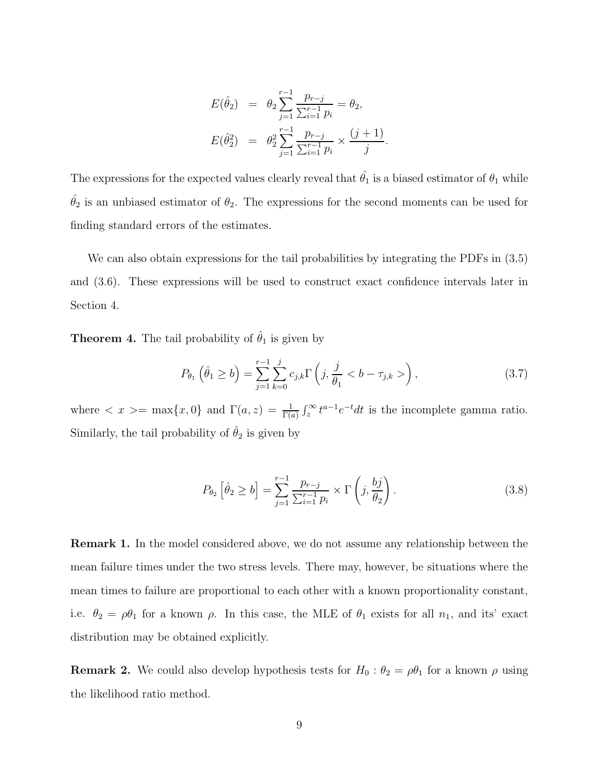$$
E(\hat{\theta}_2) = \theta_2 \sum_{j=1}^{r-1} \frac{p_{r-j}}{\sum_{i=1}^{r-1} p_i} = \theta_2,
$$
  

$$
E(\hat{\theta}_2^2) = \theta_2^2 \sum_{j=1}^{r-1} \frac{p_{r-j}}{\sum_{i=1}^{r-1} p_i} \times \frac{(j+1)}{j}.
$$

The expressions for the expected values clearly reveal that  $\hat{\theta}_1$  is a biased estimator of  $\theta_1$  while  $\hat{\theta}_2$  is an unbiased estimator of  $\theta_2$ . The expressions for the second moments can be used for finding standard errors of the estimates.

We can also obtain expressions for the tail probabilities by integrating the PDFs in  $(3.5)$ and (3.6). These expressions will be used to construct exact confidence intervals later in Section 4.

**Theorem 4.** The tail probability of  $\hat{\theta}_1$  is given by

$$
P_{\theta_1}(\hat{\theta}_1 \ge b) = \sum_{j=1}^{r-1} \sum_{k=0}^{j} c_{j,k} \Gamma\left(j, \frac{j}{\theta_1} < b - \tau_{j,k} > \right), \tag{3.7}
$$

where  $\langle x \rangle = \max\{x, 0\}$  and  $\Gamma(a, z) = \frac{1}{\Gamma(a)}$  $\int_{z}^{\infty} t^{a-1} e^{-t} dt$  is the incomplete gamma ratio. Similarly, the tail probability of  $\hat{\theta}_2$  is given by

$$
P_{\theta_2} \left[ \hat{\theta}_2 \ge b \right] = \sum_{j=1}^{r-1} \frac{p_{r-j}}{\sum_{i=1}^{r-1} p_i} \times \Gamma \left( j, \frac{bj}{\theta_2} \right). \tag{3.8}
$$

**Remark 1.** In the model considered above, we do not assume any relationship between the mean failure times under the two stress levels. There may, however, be situations where the mean times to failure are proportional to each other with a known proportionality constant, i.e.  $\theta_2 = \rho \theta_1$  for a known  $\rho$ . In this case, the MLE of  $\theta_1$  exists for all  $n_1$ , and its' exact distribution may be obtained explicitly.

**Remark 2.** We could also develop hypothesis tests for  $H_0: \theta_2 = \rho \theta_1$  for a known  $\rho$  using the likelihood ratio method.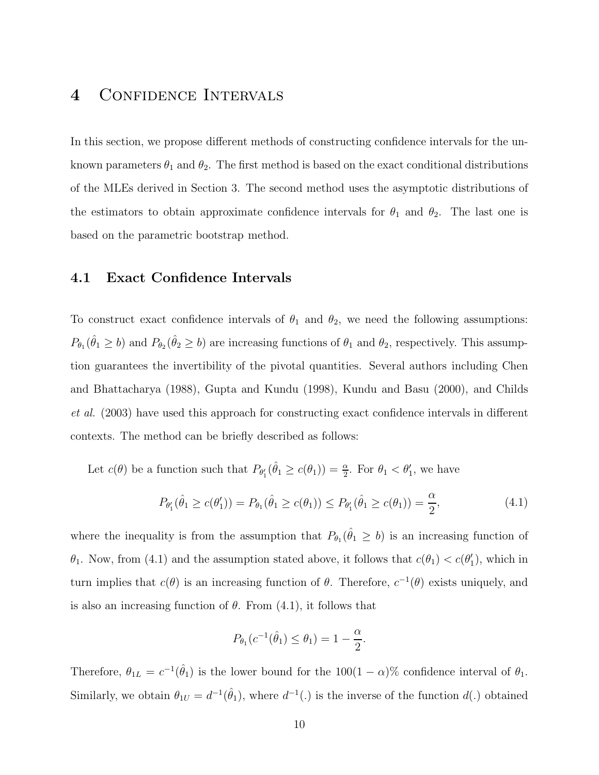## **4** Confidence Intervals

In this section, we propose different methods of constructing confidence intervals for the unknown parameters  $\theta_1$  and  $\theta_2$ . The first method is based on the exact conditional distributions of the MLEs derived in Section 3. The second method uses the asymptotic distributions of the estimators to obtain approximate confidence intervals for  $\theta_1$  and  $\theta_2$ . The last one is based on the parametric bootstrap method.

### **4.1 Exact Confidence Intervals**

To construct exact confidence intervals of  $\theta_1$  and  $\theta_2$ , we need the following assumptions:  $P_{\theta_1}(\hat{\theta}_1 \ge b)$  and  $P_{\theta_2}(\hat{\theta}_2 \ge b)$  are increasing functions of  $\theta_1$  and  $\theta_2$ , respectively. This assumption guarantees the invertibility of the pivotal quantities. Several authors including Chen and Bhattacharya (1988), Gupta and Kundu (1998), Kundu and Basu (2000), and Childs *et al.* (2003) have used this approach for constructing exact confidence intervals in different contexts. The method can be briefly described as follows:

Let  $c(\theta)$  be a function such that  $P_{\theta_1'}(\hat{\theta}_1 \ge c(\theta_1)) = \frac{\alpha}{2}$ . For  $\theta_1 < \theta_1'$ , we have

$$
P_{\theta_1'}(\hat{\theta}_1 \ge c(\theta_1')) = P_{\theta_1}(\hat{\theta}_1 \ge c(\theta_1)) \le P_{\theta_1'}(\hat{\theta}_1 \ge c(\theta_1)) = \frac{\alpha}{2},\tag{4.1}
$$

where the inequality is from the assumption that  $P_{\theta_1}(\hat{\theta}_1 \ge b)$  is an increasing function of *θ*<sub>1</sub>. Now, from (4.1) and the assumption stated above, it follows that  $c(\theta_1) < c(\theta_1')$ , which in turn implies that  $c(\theta)$  is an increasing function of  $\theta$ . Therefore,  $c^{-1}(\theta)$  exists uniquely, and is also an increasing function of  $\theta$ . From  $(4.1)$ , it follows that

$$
P_{\theta_1}(c^{-1}(\hat{\theta}_1) \le \theta_1) = 1 - \frac{\alpha}{2}.
$$

Therefore,  $\theta_{1L} = c^{-1}(\hat{\theta}_1)$  is the lower bound for the 100(1 – *α*)% confidence interval of  $\theta_1$ . Similarly, we obtain  $\theta_{1U} = d^{-1}(\hat{\theta}_1)$ , where  $d^{-1}(.)$  is the inverse of the function  $d(.)$  obtained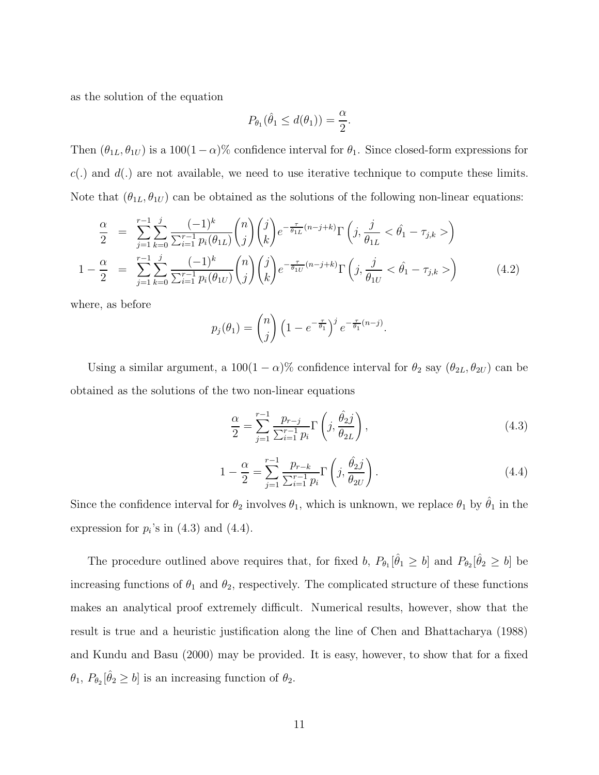as the solution of the equation

$$
P_{\theta_1}(\hat{\theta}_1 \le d(\theta_1)) = \frac{\alpha}{2}.
$$

Then  $(\theta_{1L}, \theta_{1U})$  is a 100(1 – *α*)% confidence interval for  $\theta_1$ . Since closed-form expressions for *c*(*.*) and *d*(*.*) are not available, we need to use iterative technique to compute these limits. Note that  $(\theta_{1L}, \theta_{1U})$  can be obtained as the solutions of the following non-linear equations:

$$
\frac{\alpha}{2} = \sum_{j=1}^{r-1} \sum_{k=0}^{j} \frac{(-1)^k}{\sum_{i=1}^{r-1} p_i(\theta_{1L})} {n \choose j} {j \choose k} e^{-\frac{\tau}{\theta_{1L}}(n-j+k)} \Gamma\left(j, \frac{j}{\theta_{1L}} < \hat{\theta}_1 - \tau_{j,k} >\right)
$$
  

$$
1 - \frac{\alpha}{2} = \sum_{j=1}^{r-1} \sum_{k=0}^{j} \frac{(-1)^k}{\sum_{i=1}^{r-1} p_i(\theta_{1U})} {n \choose j} {j \choose k} e^{-\frac{\tau}{\theta_{1U}}(n-j+k)} \Gamma\left(j, \frac{j}{\theta_{1U}} < \hat{\theta}_1 - \tau_{j,k} >\right)
$$
(4.2)

where, as before

$$
p_j(\theta_1) = {n \choose j} \left(1 - e^{-\frac{\tau}{\theta_1}}\right)^j e^{-\frac{\tau}{\theta_1}(n-j)}.
$$

Using a similar argument, a  $100(1 - \alpha)\%$  confidence interval for  $\theta_2$  say  $(\theta_{2L}, \theta_{2U})$  can be obtained as the solutions of the two non-linear equations

$$
\frac{\alpha}{2} = \sum_{j=1}^{r-1} \frac{p_{r-j}}{\sum_{i=1}^{r-1} p_i} \Gamma\left(j, \frac{\hat{\theta}_2 j}{\theta_{2L}}\right),\tag{4.3}
$$

$$
1 - \frac{\alpha}{2} = \sum_{j=1}^{r-1} \frac{p_{r-k}}{\sum_{i=1}^{r-1} p_i} \Gamma\left(j, \frac{\hat{\theta}_{2}j}{\theta_{2U}}\right).
$$
 (4.4)

Since the confidence interval for  $\theta_2$  involves  $\theta_1$ , which is unknown, we replace  $\theta_1$  by  $\hat{\theta}_1$  in the expression for  $p_i$ 's in  $(4.3)$  and  $(4.4)$ .

The procedure outlined above requires that, for fixed *b*,  $P_{\theta_1}[\hat{\theta}_1 \ge b]$  and  $P_{\theta_2}[\hat{\theta}_2 \ge b]$  be increasing functions of  $\theta_1$  and  $\theta_2$ , respectively. The complicated structure of these functions makes an analytical proof extremely difficult. Numerical results, however, show that the result is true and a heuristic justification along the line of Chen and Bhattacharya (1988) and Kundu and Basu (2000) may be provided. It is easy, however, to show that for a fixed  $\theta_1$ ,  $P_{\theta_2}[\hat{\theta}_2 \geq b]$  is an increasing function of  $\theta_2$ .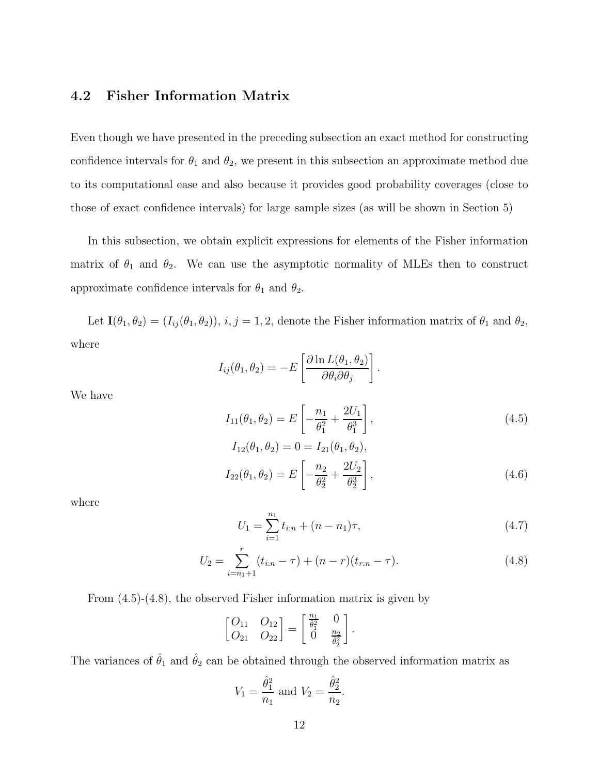### **4.2 Fisher Information Matrix**

Even though we have presented in the preceding subsection an exact method for constructing confidence intervals for  $\theta_1$  and  $\theta_2$ , we present in this subsection an approximate method due to its computational ease and also because it provides good probability coverages (close to those of exact confidence intervals) for large sample sizes (as will be shown in Section 5)

In this subsection, we obtain explicit expressions for elements of the Fisher information matrix of  $\theta_1$  and  $\theta_2$ . We can use the asymptotic normality of MLEs then to construct approximate confidence intervals for  $\theta_1$  and  $\theta_2$ .

Let  $\mathbf{I}(\theta_1, \theta_2) = (I_{ij}(\theta_1, \theta_2)), i, j = 1, 2$ , denote the Fisher information matrix of  $\theta_1$  and  $\theta_2$ , where

$$
I_{ij}(\theta_1, \theta_2) = -E \left[ \frac{\partial \ln L(\theta_1, \theta_2)}{\partial \theta_i \partial \theta_j} \right]
$$

We have

$$
I_{11}(\theta_1, \theta_2) = E\left[-\frac{n_1}{\theta_1^2} + \frac{2U_1}{\theta_1^3}\right],
$$
\n(4.5)

*.*

$$
I_{12}(\theta_1, \theta_2) = 0 = I_{21}(\theta_1, \theta_2),
$$
  
\n
$$
I_{22}(\theta_1, \theta_2) = E\left[-\frac{n_2}{\theta_2^2} + \frac{2U_2}{\theta_2^3}\right],
$$
\n(4.6)

where

$$
U_1 = \sum_{i=1}^{n_1} t_{i:n} + (n - n_1)\tau,
$$
\n(4.7)

$$
U_2 = \sum_{i=n_1+1}^{r} (t_{i:n} - \tau) + (n-r)(t_{r:n} - \tau).
$$
 (4.8)

From (4.5)-(4.8), the observed Fisher information matrix is given by

$$
\begin{bmatrix} Q_{11} & Q_{12} \\ Q_{21} & Q_{22} \end{bmatrix} = \begin{bmatrix} \frac{n_1}{\hat{\theta}_1^2} & 0 \\ 0 & \frac{n_2}{\hat{\theta}_2^2} \end{bmatrix}.
$$

The variances of  $\hat{\theta}_1$  and  $\hat{\theta}_2$  can be obtained through the observed information matrix as

$$
V_1 = \frac{\hat{\theta}_1^2}{n_1}
$$
 and  $V_2 = \frac{\hat{\theta}_2^2}{n_2}$ .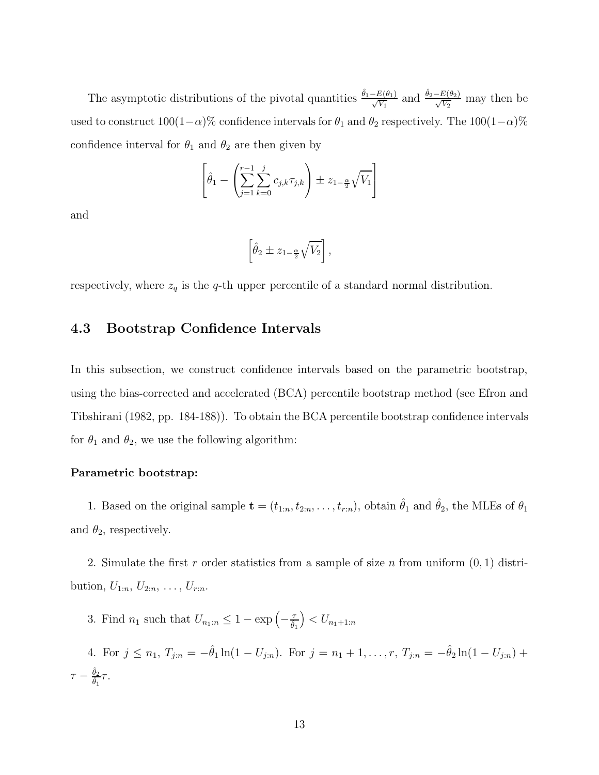The asymptotic distributions of the pivotal quantities  $\frac{\hat{\theta}_1 - E(\theta_1)}{\sqrt{V_1}}$  and  $\frac{\hat{\theta}_2 - E(\theta_2)}{\sqrt{V_2}}$  may then be used to construct  $100(1-\alpha)$ % confidence intervals for  $\theta_1$  and  $\theta_2$  respectively. The  $100(1-\alpha)$ % confidence interval for  $\theta_1$  and  $\theta_2$  are then given by

$$
\left[\hat{\theta}_1 - \left(\sum_{j=1}^{r-1} \sum_{k=0}^j c_{j,k} \tau_{j,k}\right) \pm z_{1-\frac{\alpha}{2}} \sqrt{V_1}\right]
$$

and

$$
\left[\hat{\theta}_2 \pm z_{1-\frac{\alpha}{2}}\sqrt{V_2}\right],
$$

respectively, where  $z_q$  is the  $q$ -th upper percentile of a standard normal distribution.

### **4.3 Bootstrap Confidence Intervals**

In this subsection, we construct confidence intervals based on the parametric bootstrap, using the bias-corrected and accelerated (BCA) percentile bootstrap method (see Efron and Tibshirani (1982, pp. 184-188)). To obtain the BCA percentile bootstrap confidence intervals for  $\theta_1$  and  $\theta_2$ , we use the following algorithm:

### **Parametric bootstrap:**

1. Based on the original sample  $\mathbf{t} = (t_{1:n}, t_{2:n}, \ldots, t_{r:n})$ , obtain  $\hat{\theta}_1$  and  $\hat{\theta}_2$ , the MLEs of  $\theta_1$ and  $\theta_2$ , respectively.

2. Simulate the first *r* order statistics from a sample of size *n* from uniform (0*,* 1) distribution,  $U_{1:n}, U_{2:n}, \ldots, U_{r:n}$ .

3. Find  $n_1$  such that  $U_{n_1:n} \leq 1 - \exp\left(-\frac{\tau}{\hat{\theta}_1}\right)$  $\Big) < U_{n_1+1:n}$ 

4. For  $j \leq n_1, T_{j:n} = -\hat{\theta}_1 \ln(1 - U_{j:n})$ . For  $j = n_1 + 1, \ldots, r, T_{j:n} = -\hat{\theta}_2 \ln(1 - U_{j:n}) +$  $\tau - \frac{\hat{\theta}_2}{\hat{\theta}_1} \tau.$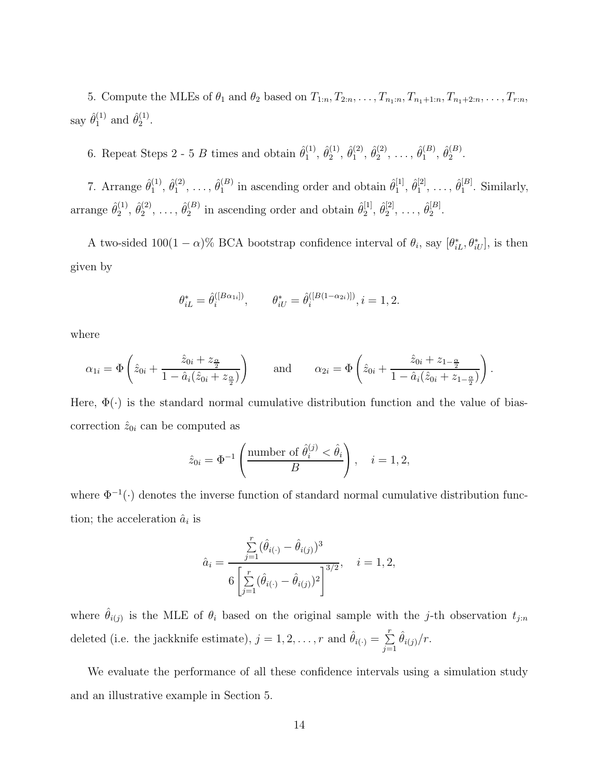5. Compute the MLEs of  $\theta_1$  and  $\theta_2$  based on  $T_{1:n}, T_{2:n}, \ldots, T_{n_1:n}, T_{n_1+1:n}, T_{n_1+2:n}, \ldots, T_{r:n}$ say  $\hat{\theta}_1^{(1)}$  and  $\hat{\theta}_2^{(1)}$ .

6. Repeat Steps 2 - 5 *B* times and obtain  $\hat{\theta}_1^{(1)}$ ,  $\hat{\theta}_2^{(1)}$ ,  $\hat{\theta}_1^{(2)}$ ,  $\hat{\theta}_2^{(2)}$ , ...,  $\hat{\theta}_1^{(B)}$ ,  $\hat{\theta}_2^{(B)}$ .

7. Arrange  $\hat{\theta}_1^{(1)}$ ,  $\hat{\theta}_1^{(2)}$ , ...,  $\hat{\theta}_1^{(B)}$  in ascending order and obtain  $\hat{\theta}_1^{[1]}$ ,  $\hat{\theta}_1^{[2]}$ , ...,  $\hat{\theta}_1^{[B]}$ . Similarly, arrange  $\hat{\theta}_2^{(1)}, \hat{\theta}_2^{(2)}, \ldots, \hat{\theta}_2^{(B)}$  in ascending order and obtain  $\hat{\theta}_2^{[1]}, \hat{\theta}_2^{[2]}, \ldots, \hat{\theta}_2^{[B]}$ .

A two-sided  $100(1 - \alpha)$ % BCA bootstrap confidence interval of  $\theta_i$ , say  $[\theta_{iL}^*, \theta_{iU}^*]$ , is then given by

$$
\theta_{iL}^* = \hat{\theta}_i^{([B\alpha_{1i}])}, \qquad \theta_{iU}^* = \hat{\theta}_i^{([B(1-\alpha_{2i})])}, i = 1, 2.
$$

where

$$
\alpha_{1i} = \Phi\left(\hat{z}_{0i} + \frac{\hat{z}_{0i} + z_{\frac{\alpha}{2}}}{1 - \hat{a}_i(\hat{z}_{0i} + z_{\frac{\alpha}{2}})}\right) \quad \text{and} \quad \alpha_{2i} = \Phi\left(\hat{z}_{0i} + \frac{\hat{z}_{0i} + z_{1-\frac{\alpha}{2}}}{1 - \hat{a}_i(\hat{z}_{0i} + z_{1-\frac{\alpha}{2}})}\right).
$$

Here,  $\Phi(\cdot)$  is the standard normal cumulative distribution function and the value of biascorrection  $\hat{z}_{0i}$  can be computed as

$$
\hat{z}_{0i} = \Phi^{-1}\left(\frac{\text{number of }\hat{\theta}_i^{(j)} < \hat{\theta}_i}{B}\right), \quad i = 1, 2,
$$

where  $\Phi^{-1}(\cdot)$  denotes the inverse function of standard normal cumulative distribution function; the acceleration  $\hat{a}_i$  is

$$
\hat{a}_i = \frac{\sum_{j=1}^r (\hat{\theta}_{i(\cdot)} - \hat{\theta}_{i(j)})^3}{6\left[\sum_{j=1}^r (\hat{\theta}_{i(\cdot)} - \hat{\theta}_{i(j)})^2\right]^{3/2}}, \quad i = 1, 2,
$$

where  $\hat{\theta}_{i(j)}$  is the MLE of  $\theta_i$  based on the original sample with the *j*-th observation  $t_{j:n}$ deleted (i.e. the jackknife estimate),  $j = 1, 2, ..., r$  and  $\hat{\theta}_{i(\cdot)} = \sum_{j=1}^{r} \hat{\theta}_{i(j)}/r$ .

We evaluate the performance of all these confidence intervals using a simulation study and an illustrative example in Section 5.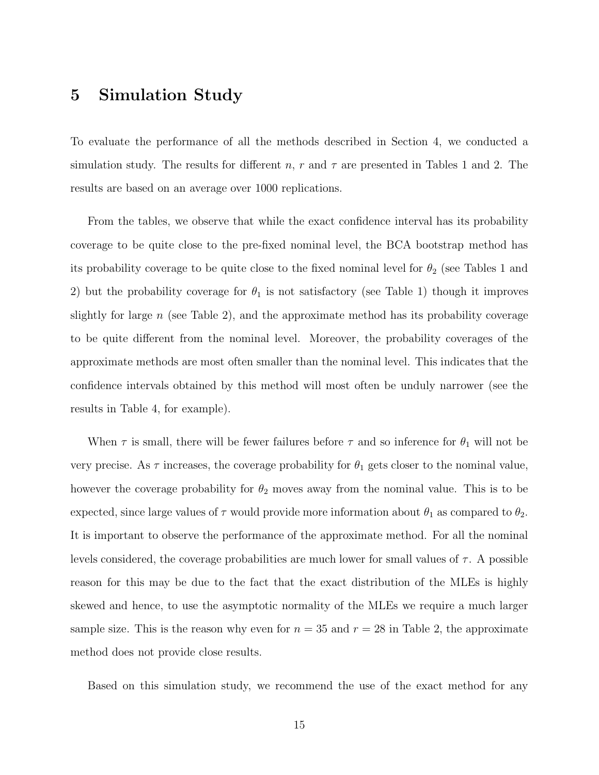## **5 Simulation Study**

To evaluate the performance of all the methods described in Section 4, we conducted a simulation study. The results for different *n*, *r* and  $\tau$  are presented in Tables 1 and 2. The results are based on an average over 1000 replications.

From the tables, we observe that while the exact confidence interval has its probability coverage to be quite close to the pre-fixed nominal level, the BCA bootstrap method has its probability coverage to be quite close to the fixed nominal level for  $\theta_2$  (see Tables 1 and 2) but the probability coverage for  $\theta_1$  is not satisfactory (see Table 1) though it improves slightly for large *n* (see Table 2), and the approximate method has its probability coverage to be quite different from the nominal level. Moreover, the probability coverages of the approximate methods are most often smaller than the nominal level. This indicates that the confidence intervals obtained by this method will most often be unduly narrower (see the results in Table 4, for example).

When  $\tau$  is small, there will be fewer failures before  $\tau$  and so inference for  $\theta_1$  will not be very precise. As  $\tau$  increases, the coverage probability for  $\theta_1$  gets closer to the nominal value, however the coverage probability for  $\theta_2$  moves away from the nominal value. This is to be expected, since large values of  $\tau$  would provide more information about  $\theta_1$  as compared to  $\theta_2$ . It is important to observe the performance of the approximate method. For all the nominal levels considered, the coverage probabilities are much lower for small values of  $\tau$ . A possible reason for this may be due to the fact that the exact distribution of the MLEs is highly skewed and hence, to use the asymptotic normality of the MLEs we require a much larger sample size. This is the reason why even for  $n = 35$  and  $r = 28$  in Table 2, the approximate method does not provide close results.

Based on this simulation study, we recommend the use of the exact method for any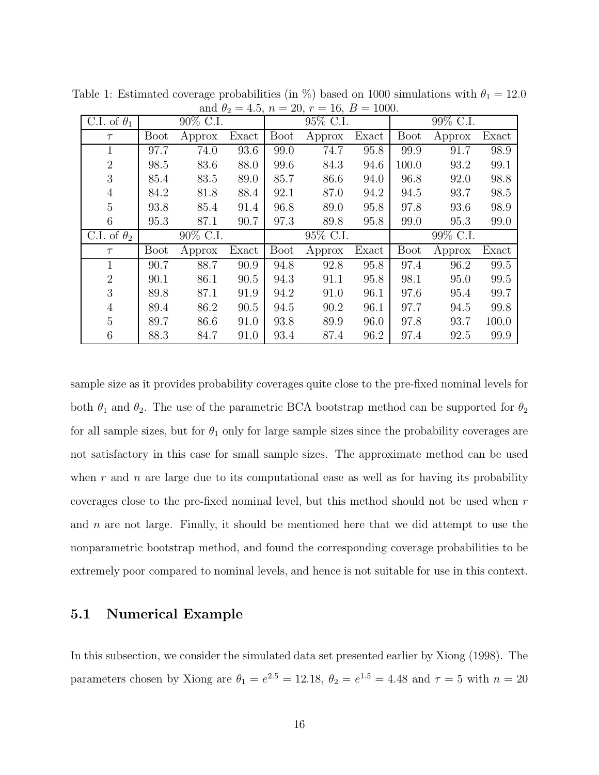| C.I. of $\theta_1$ | 90% C.I.    |           |       | 95\% C.I.   |           |       | 99% C.I.    |          |       |
|--------------------|-------------|-----------|-------|-------------|-----------|-------|-------------|----------|-------|
| $\tau$             | <b>Boot</b> | Approx    | Exact | <b>Boot</b> | Approx    | Exact | <b>Boot</b> | Approx   | Exact |
| $\mathbf 1$        | 97.7        | 74.0      | 93.6  | 99.0        | 74.7      | 95.8  | 99.9        | 91.7     | 98.9  |
| $\overline{2}$     | 98.5        | 83.6      | 88.0  | 99.6        | 84.3      | 94.6  | 100.0       | 93.2     | 99.1  |
| 3                  | 85.4        | 83.5      | 89.0  | 85.7        | 86.6      | 94.0  | 96.8        | 92.0     | 98.8  |
| $\overline{4}$     | 84.2        | 81.8      | 88.4  | 92.1        | 87.0      | 94.2  | 94.5        | 93.7     | 98.5  |
| $\overline{5}$     | 93.8        | 85.4      | 91.4  | 96.8        | 89.0      | 95.8  | 97.8        | 93.6     | 98.9  |
| 6                  | 95.3        | 87.1      | 90.7  | 97.3        | 89.8      | 95.8  | 99.0        | 95.3     | 99.0  |
| C.I. of $\theta_2$ |             | 90\% C.I. |       |             | 95\% C.I. |       |             | 99% C.I. |       |
| $\tau$             | <b>Boot</b> | Approx    | Exact | <b>Boot</b> | Approx    | Exact | <b>Boot</b> | Approx   | Exact |
| 1                  | 90.7        | 88.7      | 90.9  | 94.8        | 92.8      | 95.8  | 97.4        | 96.2     | 99.5  |
| $\overline{2}$     | 90.1        | 86.1      | 90.5  | 94.3        | 91.1      | 95.8  | 98.1        | 95.0     | 99.5  |
| 3                  | 89.8        | 87.1      | 91.9  | 94.2        | 91.0      | 96.1  | 97.6        | 95.4     | 99.7  |
| $\overline{4}$     | 89.4        | 86.2      | 90.5  | 94.5        | 90.2      | 96.1  | 97.7        | 94.5     | 99.8  |
| 5                  | 89.7        | 86.6      | 91.0  | 93.8        | 89.9      | 96.0  | 97.8        | 93.7     | 100.0 |
| 6                  | 88.3        | 84.7      | 91.0  | 93.4        | 87.4      | 96.2  | 97.4        | 92.5     | 99.9  |

Table 1: Estimated coverage probabilities (in  $\%$ ) based on 1000 simulations with  $\theta_1 = 12.0$ and  $\theta_2 = 4.5$ ,  $n = 20$ ,  $r = 16$ ,  $B = 1000$ .

sample size as it provides probability coverages quite close to the pre-fixed nominal levels for both  $\theta_1$  and  $\theta_2$ . The use of the parametric BCA bootstrap method can be supported for  $\theta_2$ for all sample sizes, but for  $\theta_1$  only for large sample sizes since the probability coverages are not satisfactory in this case for small sample sizes. The approximate method can be used when *r* and *n* are large due to its computational ease as well as for having its probability coverages close to the pre-fixed nominal level, but this method should not be used when *r* and *n* are not large. Finally, it should be mentioned here that we did attempt to use the nonparametric bootstrap method, and found the corresponding coverage probabilities to be extremely poor compared to nominal levels, and hence is not suitable for use in this context.

### **5.1 Numerical Example**

In this subsection, we consider the simulated data set presented earlier by Xiong (1998). The parameters chosen by Xiong are  $\theta_1 = e^{2.5} = 12.18$ ,  $\theta_2 = e^{1.5} = 4.48$  and  $\tau = 5$  with  $n = 20$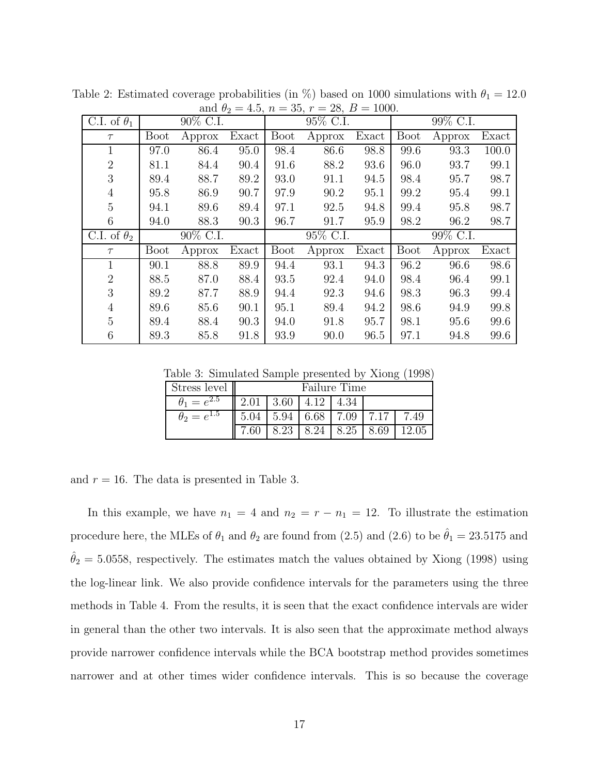| C.I. of $\theta_1$ | 90\% C.I.   |           |       | <br>95\% C.I. |           |       | 99\% C.I.   |           |       |
|--------------------|-------------|-----------|-------|---------------|-----------|-------|-------------|-----------|-------|
| $\tau$             | <b>Boot</b> | Approx    | Exact | <b>Boot</b>   | Approx    | Exact | <b>Boot</b> | Approx    | Exact |
| 1                  | 97.0        | 86.4      | 95.0  | 98.4          | 86.6      | 98.8  | 99.6        | 93.3      | 100.0 |
| $\overline{2}$     | 81.1        | 84.4      | 90.4  | 91.6          | 88.2      | 93.6  | 96.0        | 93.7      | 99.1  |
| 3                  | 89.4        | 88.7      | 89.2  | 93.0          | 91.1      | 94.5  | 98.4        | 95.7      | 98.7  |
| $\overline{4}$     | 95.8        | 86.9      | 90.7  | 97.9          | 90.2      | 95.1  | 99.2        | 95.4      | 99.1  |
| 5                  | 94.1        | 89.6      | 89.4  | 97.1          | 92.5      | 94.8  | 99.4        | 95.8      | 98.7  |
| 6                  | 94.0        | 88.3      | 90.3  | 96.7          | 91.7      | 95.9  | 98.2        | 96.2      | 98.7  |
| C.I. of $\theta_2$ |             | 90\% C.I. |       |               | 95\% C.I. |       |             | 99\% C.I. |       |
| $\tau$             | <b>Boot</b> | Approx    | Exact | <b>Boot</b>   | Approx    | Exact | <b>Boot</b> | Approx    | Exact |
| 1                  | 90.1        | 88.8      | 89.9  | 94.4          | 93.1      | 94.3  | 96.2        | 96.6      | 98.6  |
| $\overline{2}$     | 88.5        | 87.0      | 88.4  | 93.5          | 92.4      | 94.0  | 98.4        | 96.4      | 99.1  |
| 3                  | 89.2        | 87.7      | 88.9  | 94.4          | 92.3      | 94.6  | 98.3        | 96.3      | 99.4  |
| $\overline{4}$     | 89.6        | 85.6      | 90.1  | 95.1          | 89.4      | 94.2  | 98.6        | 94.9      | 99.8  |
| $\overline{5}$     | 89.4        | 88.4      | 90.3  | 94.0          | 91.8      | 95.7  | 98.1        | 95.6      | 99.6  |
| 6                  | 89.3        | 85.8      | 91.8  | 93.9          | 90.0      | 96.5  | 97.1        | 94.8      | 99.6  |

Table 2: Estimated coverage probabilities (in %) based on 1000 simulations with  $\theta_1 = 12.0$ and  $\theta_2 = 4.5$ ,  $n = 35$ ,  $r = 28$ ,  $B = 1000$ .

Table 3: Simulated Sample presented by Xiong (1998)

| Stress level                | Failure Time |             |      |                          |      |       |
|-----------------------------|--------------|-------------|------|--------------------------|------|-------|
| $\theta_{1}$<br>$= e^{4.5}$ | 2.01         | $\mid$ 3.60 | 4.12 | 4.34                     |      |       |
| $\theta_2=e^{1.5}$          | 5.04         |             |      | $5.94 \pm 6.68 \pm 7.09$ | 7.17 | 7.49  |
|                             |              | 8.23        | 8.24 | 8.25                     | 8.69 | 12.05 |

and  $r = 16$ . The data is presented in Table 3.

In this example, we have  $n_1 = 4$  and  $n_2 = r - n_1 = 12$ . To illustrate the estimation procedure here, the MLEs of  $\theta_1$  and  $\theta_2$  are found from (2.5) and (2.6) to be  $\hat{\theta}_1 = 23.5175$  and  $\hat{\theta}_2 = 5.0558$ , respectively. The estimates match the values obtained by Xiong (1998) using the log-linear link. We also provide confidence intervals for the parameters using the three methods in Table 4. From the results, it is seen that the exact confidence intervals are wider in general than the other two intervals. It is also seen that the approximate method always provide narrower confidence intervals while the BCA bootstrap method provides sometimes narrower and at other times wider confidence intervals. This is so because the coverage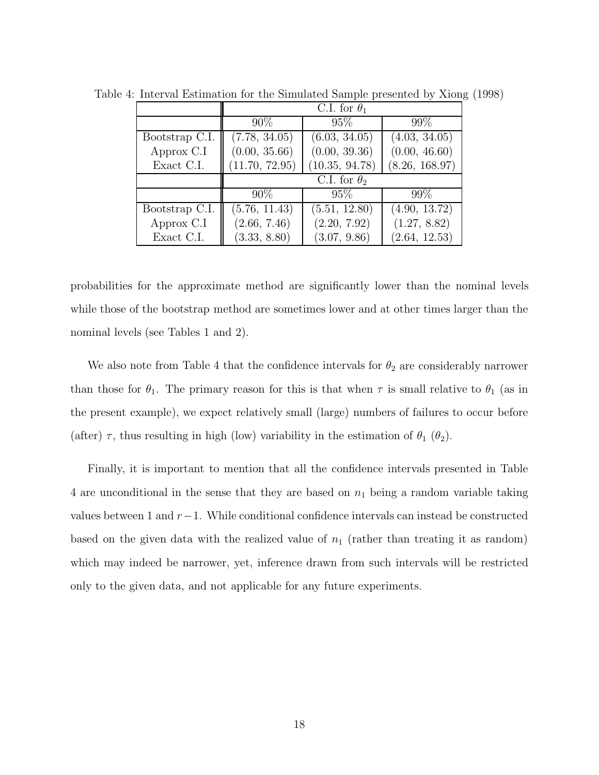|                | C.I. for $\theta_1$ |                |                |  |  |
|----------------|---------------------|----------------|----------------|--|--|
|                | $90\%$              | $95\%$         | 99%            |  |  |
| Bootstrap C.I. | (7.78, 34.05)       | (6.03, 34.05)  | (4.03, 34.05)  |  |  |
| Approx C.I     | (0.00, 35.66)       | (0.00, 39.36)  | (0.00, 46.60)  |  |  |
| Exact C.I.     | (11.70, 72.95)      | (10.35, 94.78) | (8.26, 168.97) |  |  |
|                | C.I. for $\theta_2$ |                |                |  |  |
|                | $90\%$              | $95\%$         | 99\%           |  |  |
| Bootstrap C.I. | (5.76, 11.43)       | (5.51, 12.80)  | (4.90, 13.72)  |  |  |
| Approx C.I     | (2.66, 7.46)        | (2.20, 7.92)   | (1.27, 8.82)   |  |  |
| Exact C.I.     | (3.33, 8.80)        | (3.07, 9.86)   | (2.64, 12.53)  |  |  |

Table 4: Interval Estimation for the Simulated Sample presented by Xiong (1998)

probabilities for the approximate method are significantly lower than the nominal levels while those of the bootstrap method are sometimes lower and at other times larger than the nominal levels (see Tables 1 and 2).

We also note from Table 4 that the confidence intervals for  $\theta_2$  are considerably narrower than those for  $\theta_1$ . The primary reason for this is that when  $\tau$  is small relative to  $\theta_1$  (as in the present example), we expect relatively small (large) numbers of failures to occur before (after)  $\tau$ , thus resulting in high (low) variability in the estimation of  $\theta_1$  ( $\theta_2$ ).

Finally, it is important to mention that all the confidence intervals presented in Table 4 are unconditional in the sense that they are based on  $n_1$  being a random variable taking values between 1 and *r*−1. While conditional confidence intervals can instead be constructed based on the given data with the realized value of  $n_1$  (rather than treating it as random) which may indeed be narrower, yet, inference drawn from such intervals will be restricted only to the given data, and not applicable for any future experiments.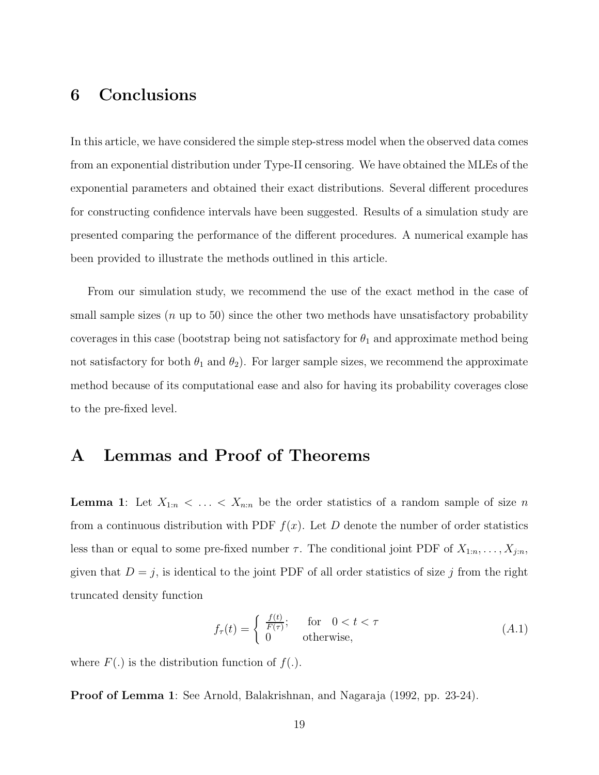## **6 Conclusions**

In this article, we have considered the simple step-stress model when the observed data comes from an exponential distribution under Type-II censoring. We have obtained the MLEs of the exponential parameters and obtained their exact distributions. Several different procedures for constructing confidence intervals have been suggested. Results of a simulation study are presented comparing the performance of the different procedures. A numerical example has been provided to illustrate the methods outlined in this article.

From our simulation study, we recommend the use of the exact method in the case of small sample sizes (*n* up to 50) since the other two methods have unsatisfactory probability coverages in this case (bootstrap being not satisfactory for  $\theta_1$  and approximate method being not satisfactory for both  $\theta_1$  and  $\theta_2$ ). For larger sample sizes, we recommend the approximate method because of its computational ease and also for having its probability coverages close to the pre-fixed level.

## **A Lemmas and Proof of Theorems**

**Lemma 1**: Let  $X_{1:n} < \ldots < X_{n:n}$  be the order statistics of a random sample of size *n* from a continuous distribution with PDF  $f(x)$ . Let *D* denote the number of order statistics less than or equal to some pre-fixed number  $\tau$ . The conditional joint PDF of  $X_{1:n}, \ldots, X_{j:n}$ , given that  $D = j$ , is identical to the joint PDF of all order statistics of size *j* from the right truncated density function

$$
f_{\tau}(t) = \begin{cases} \frac{f(t)}{F(\tau)}; & \text{for } 0 < t < \tau \\ 0 & \text{otherwise,} \end{cases}
$$
 (A.1)

where  $F(.)$  is the distribution function of  $f(.)$ .

**Proof of Lemma 1**: See Arnold, Balakrishnan, and Nagaraja (1992, pp. 23-24).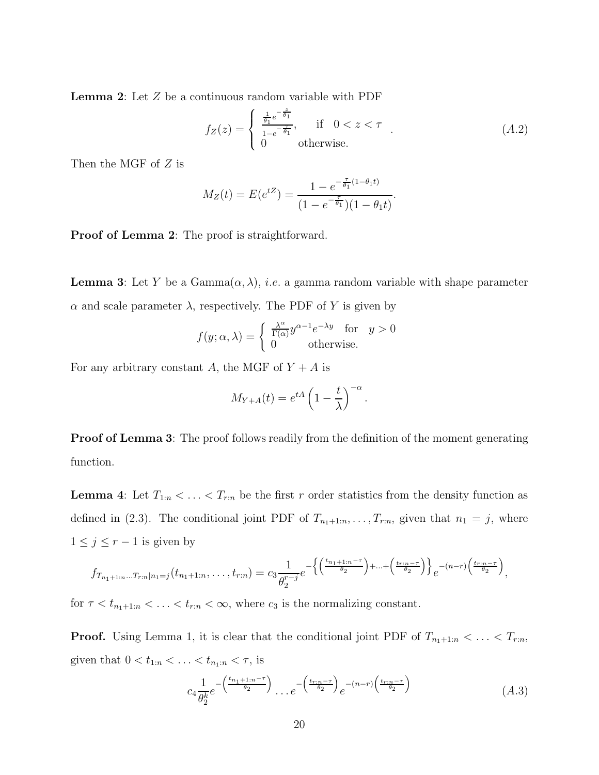**Lemma 2**: Let *Z* be a continuous random variable with PDF

$$
f_Z(z) = \begin{cases} \frac{1}{\theta_1} e^{-\frac{z}{\theta_1}}, & \text{if } 0 < z < \tau \\ 0 & \text{otherwise.} \end{cases} \tag{A.2}
$$

*.*

Then the MGF of *Z* is

$$
M_Z(t) = E(e^{tZ}) = \frac{1 - e^{-\frac{\tau}{\theta_1}(1 - \theta_1 t)}}{(1 - e^{-\frac{\tau}{\theta_1}})(1 - \theta_1 t)}.
$$

**Proof of Lemma 2**: The proof is straightforward.

**Lemma 3**: Let *Y* be a Gamma $(\alpha, \lambda)$ , *i.e.* a gamma random variable with shape parameter *α* and scale parameter *λ*, respectively. The PDF of *Y* is given by

$$
f(y; \alpha, \lambda) = \begin{cases} \frac{\lambda^{\alpha}}{\Gamma(\alpha)} y^{\alpha - 1} e^{-\lambda y} & \text{for } y > 0 \\ 0 & \text{otherwise.} \end{cases}
$$

For any arbitrary constant *A*, the MGF of  $Y + A$  is

$$
M_{Y+A}(t) = e^{tA} \left(1 - \frac{t}{\lambda}\right)^{-\alpha}
$$

**Proof of Lemma 3**: The proof follows readily from the definition of the moment generating function.

**Lemma 4**: Let  $T_{1:n} < \ldots < T_{r:n}$  be the first *r* order statistics from the density function as defined in (2.3). The conditional joint PDF of  $T_{n_1+1:n}, \ldots, T_{r:n}$ , given that  $n_1 = j$ , where  $1 \leq j \leq r-1$  is given by

$$
f_{T_{n_1+1:n}\ldots T_{r:n}|n_1=j}(t_{n_1+1:n},\ldots,t_{r:n})=c_3\frac{1}{\theta_2^{r-j}}e^{-\left\{\left(\frac{t_{n_1+1:n}-\tau}{\theta_2}\right)+\ldots+\left(\frac{t_{r:n}-\tau}{\theta_2}\right)\right\}}e^{-(n-r)\left(\frac{t_{r:n}-\tau}{\theta_2}\right)},
$$

for  $\tau < t_{n_1+1:n} < \ldots < t_{r:n} < \infty$ , where  $c_3$  is the normalizing constant.

**Proof.** Using Lemma 1, it is clear that the conditional joint PDF of  $T_{n_1+1:n} < \ldots < T_{r:n}$ , given that  $0 < t_{1:n} < ... < t_{n_1:n} < \tau$ , is

$$
c_4 \frac{1}{\theta_2^k} e^{-\left(\frac{t_{n_1+1:n}-\tau}{\theta_2}\right)} \dots e^{-\left(\frac{t_{r:n}-\tau}{\theta_2}\right)} e^{-(n-r)\left(\frac{t_{r:n}-\tau}{\theta_2}\right)} \tag{A.3}
$$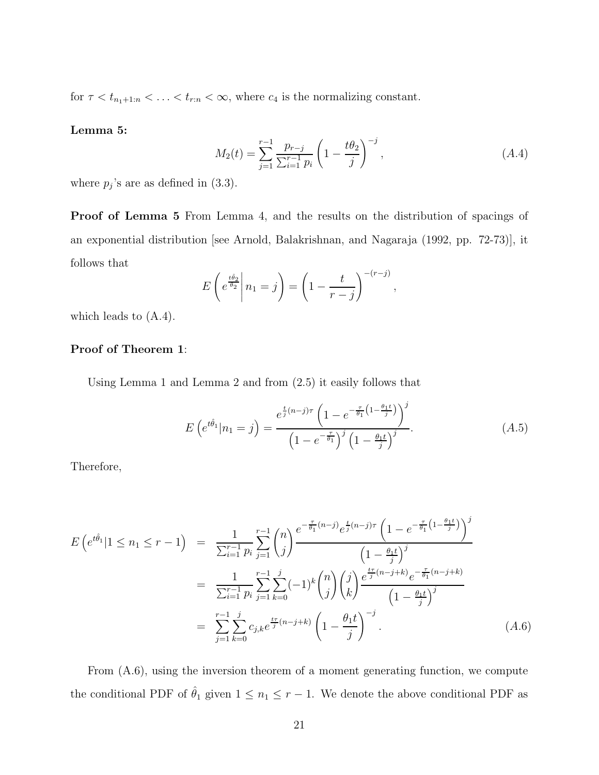for  $\tau < t_{n_1+1:n} < \ldots < t_{r:n} < \infty$ , where  $c_4$  is the normalizing constant.

#### **Lemma 5:**

$$
M_2(t) = \sum_{j=1}^{r-1} \frac{p_{r-j}}{\sum_{i=1}^{r-1} p_i} \left( 1 - \frac{t\theta_2}{j} \right)^{-j}, \tag{A.4}
$$

where  $p_j$ 's are as defined in  $(3.3)$ .

**Proof of Lemma 5** From Lemma 4, and the results on the distribution of spacings of an exponential distribution [see Arnold, Balakrishnan, and Nagaraja (1992, pp. 72-73)], it follows that

$$
E\left(e^{\frac{t\hat{\theta}_2}{\theta_2}}\middle| n_1 = j\right) = \left(1 - \frac{t}{r-j}\right)^{-(r-j)},
$$

which leads to (A.4).

### **Proof of Theorem 1**:

Using Lemma 1 and Lemma 2 and from (2.5) it easily follows that

$$
E\left(e^{t\hat{\theta}_1}|n_1=j\right) = \frac{e^{\frac{t}{j}(n-j)\tau} \left(1 - e^{-\frac{\tau}{\theta_1}\left(1 - \frac{\theta_1 t}{j}\right)}\right)^j}{\left(1 - e^{-\frac{\tau}{\theta_1}}\right)^j \left(1 - \frac{\theta_1 t}{j}\right)^j}.
$$
\n(A.5)

Therefore,

$$
E\left(e^{t\hat{\theta}_1}|1 \leq n_1 \leq r - 1\right) = \frac{1}{\sum_{i=1}^{r-1} p_i} \sum_{j=1}^{r-1} {n \choose j} \frac{e^{-\frac{\tau}{\theta_1}(n-j)} e^{\frac{t}{j}(n-j)\tau} \left(1 - e^{-\frac{\tau}{\theta_1}\left(1 - \frac{\theta_1 t}{j}\right)}\right)^j}{\left(1 - \frac{\theta_1 t}{j}\right)^j}
$$
  
\n
$$
= \frac{1}{\sum_{i=1}^{r-1} p_i} \sum_{j=1}^{r-1} \sum_{k=0}^{j} (-1)^k {n \choose j} {j \choose k} \frac{e^{\frac{t\tau}{j}(n-j+k)} e^{-\frac{\tau}{\theta_1}(n-j+k)}}{\left(1 - \frac{\theta_1 t}{j}\right)^j}
$$
  
\n
$$
= \sum_{j=1}^{r-1} \sum_{k=0}^{j} c_{j,k} e^{\frac{t\tau}{j}(n-j+k)} \left(1 - \frac{\theta_1 t}{j}\right)^{-j}.
$$
 (A.6)

From (A.6), using the inversion theorem of a moment generating function, we compute the conditional PDF of  $\hat{\theta}_1$  given  $1 \leq n_1 \leq r - 1$ . We denote the above conditional PDF as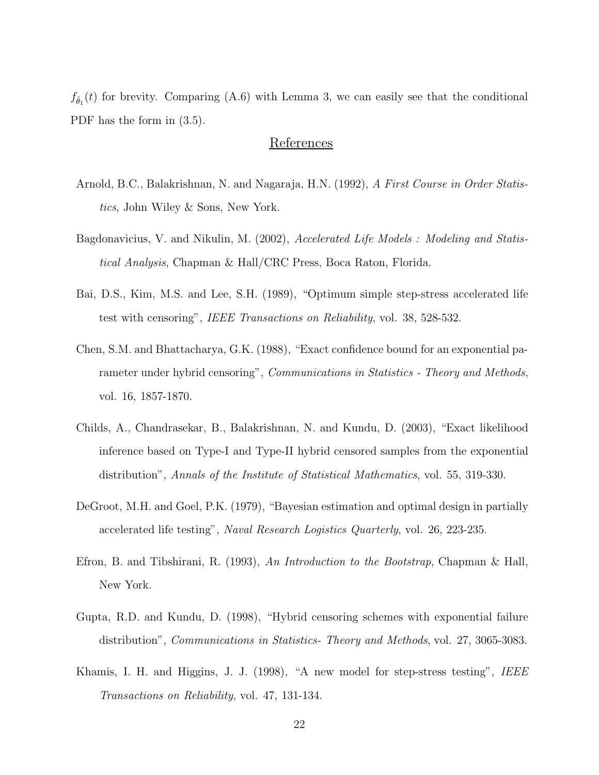$f_{\hat{\theta}_1}(t)$  for brevity. Comparing (A.6) with Lemma 3, we can easily see that the conditional PDF has the form in (3.5).

#### **References**

- Arnold, B.C., Balakrishnan, N. and Nagaraja, H.N. (1992), *A First Course in Order Statistics*, John Wiley & Sons, New York.
- Bagdonavicius, V. and Nikulin, M. (2002), *Accelerated Life Models : Modeling and Statistical Analysis*, Chapman & Hall/CRC Press, Boca Raton, Florida.
- Bai, D.S., Kim, M.S. and Lee, S.H. (1989), "Optimum simple step-stress accelerated life test with censoring", *IEEE Transactions on Reliability*, vol. 38, 528-532.
- Chen, S.M. and Bhattacharya, G.K. (1988), "Exact confidence bound for an exponential parameter under hybrid censoring", *Communications in Statistics - Theory and Methods*, vol. 16, 1857-1870.
- Childs, A., Chandrasekar, B., Balakrishnan, N. and Kundu, D. (2003), "Exact likelihood inference based on Type-I and Type-II hybrid censored samples from the exponential distribution", *Annals of the Institute of Statistical Mathematics*, vol. 55, 319-330.
- DeGroot, M.H. and Goel, P.K. (1979), "Bayesian estimation and optimal design in partially accelerated life testing", *Naval Research Logistics Quarterly*, vol. 26, 223-235.
- Efron, B. and Tibshirani, R. (1993), *An Introduction to the Bootstrap*, Chapman & Hall, New York.
- Gupta, R.D. and Kundu, D. (1998), "Hybrid censoring schemes with exponential failure distribution", *Communications in Statistics- Theory and Methods*, vol. 27, 3065-3083.
- Khamis, I. H. and Higgins, J. J. (1998), "A new model for step-stress testing", *IEEE Transactions on Reliability*, vol. 47, 131-134.